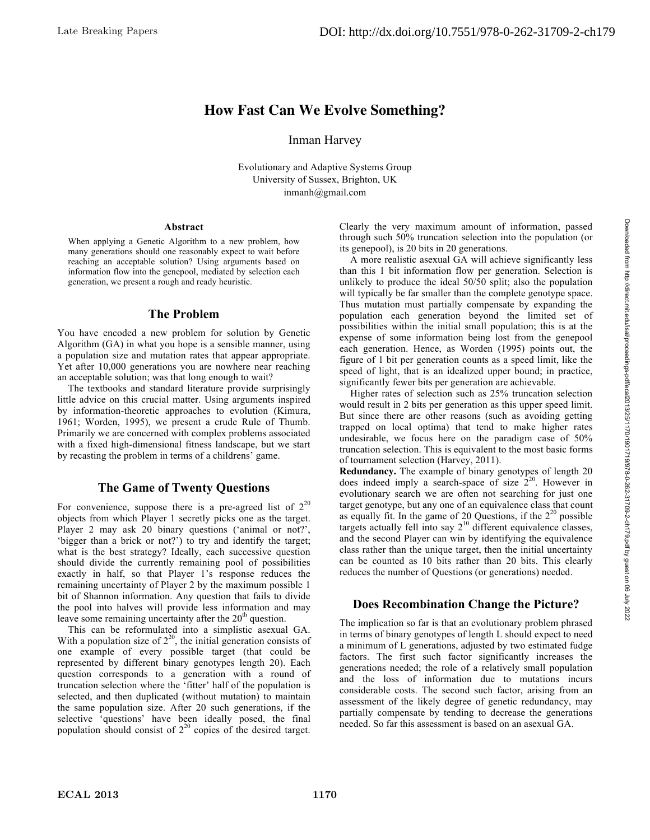# **How Fast Can We Evolve Something?**

Inman Harvey

Evolutionary and Adaptive Systems Group University of Sussex, Brighton, UK inmanh@gmail.com

#### **Abstract**

When applying a Genetic Algorithm to a new problem, how many generations should one reasonably expect to wait before reaching an acceptable solution? Using arguments based on information flow into the genepool, mediated by selection each generation, we present a rough and ready heuristic.

#### **The Problem**

You have encoded a new problem for solution by Genetic Algorithm (GA) in what you hope is a sensible manner, using a population size and mutation rates that appear appropriate. Yet after 10,000 generations you are nowhere near reaching an acceptable solution; was that long enough to wait?

The textbooks and standard literature provide surprisingly little advice on this crucial matter. Using arguments inspired by information-theoretic approaches to evolution (Kimura, 1961; Worden, 1995), we present a crude Rule of Thumb. Primarily we are concerned with complex problems associated with a fixed high-dimensional fitness landscape, but we start by recasting the problem in terms of a childrens' game.

## **The Game of Twenty Questions**

For convenience, suppose there is a pre-agreed list of  $2^{20}$ objects from which Player 1 secretly picks one as the target. Player 2 may ask 20 binary questions ('animal or not?', 'bigger than a brick or not?') to try and identify the target; what is the best strategy? Ideally, each successive question should divide the currently remaining pool of possibilities exactly in half, so that Player 1's response reduces the remaining uncertainty of Player 2 by the maximum possible 1 bit of Shannon information. Any question that fails to divide the pool into halves will provide less information and may leave some remaining uncertainty after the  $20<sup>th</sup>$  question.

This can be reformulated into a simplistic asexual GA. With a population size of  $2^{20}$ , the initial generation consists of one example of every possible target (that could be represented by different binary genotypes length 20). Each question corresponds to a generation with a round of truncation selection where the 'fitter' half of the population is selected, and then duplicated (without mutation) to maintain the same population size. After 20 such generations, if the selective 'questions' have been ideally posed, the final population should consist of  $2^{20}$  copies of the desired target.

Clearly the very maximum amount of information, passed through such 50% truncation selection into the population (or its genepool), is 20 bits in 20 generations.

A more realistic asexual GA will achieve significantly less than this 1 bit information flow per generation. Selection is unlikely to produce the ideal 50/50 split; also the population will typically be far smaller than the complete genotype space. Thus mutation must partially compensate by expanding the population each generation beyond the limited set of possibilities within the initial small population; this is at the expense of some information being lost from the genepool each generation. Hence, as Worden (1995) points out, the figure of 1 bit per generation counts as a speed limit, like the speed of light, that is an idealized upper bound; in practice, significantly fewer bits per generation are achievable.

Higher rates of selection such as 25% truncation selection would result in 2 bits per generation as this upper speed limit. But since there are other reasons (such as avoiding getting trapped on local optima) that tend to make higher rates undesirable, we focus here on the paradigm case of 50% truncation selection. This is equivalent to the most basic forms of tournament selection (Harvey, 2011).

**Redundancy.** The example of binary genotypes of length 20 does indeed imply a search-space of size  $2^{20}$ . However in evolutionary search we are often not searching for just one target genotype, but any one of an equivalence class that count as equally fit. In the game of 20 Questions, if the  $2^{20}$  possible targets actually fell into say  $2^{10}$  different equivalence classes, and the second Player can win by identifying the equivalence class rather than the unique target, then the initial uncertainty can be counted as 10 bits rather than 20 bits. This clearly reduces the number of Questions (or generations) needed.

## **Does Recombination Change the Picture?**

The implication so far is that an evolutionary problem phrased in terms of binary genotypes of length L should expect to need a minimum of L generations, adjusted by two estimated fudge factors. The first such factor significantly increases the generations needed; the role of a relatively small population and the loss of information due to mutations incurs considerable costs. The second such factor, arising from an assessment of the likely degree of genetic redundancy, may partially compensate by tending to decrease the generations needed. So far this assessment is based on an asexual GA.